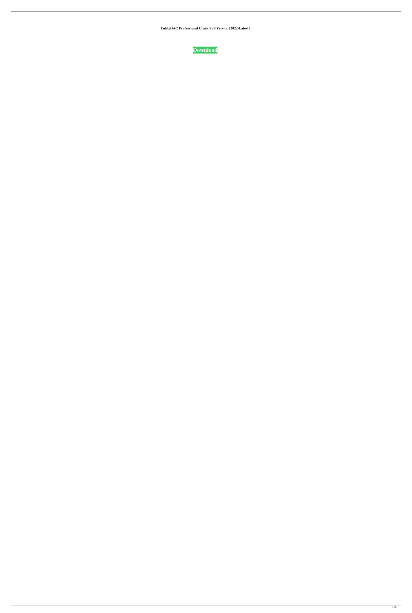**EntityDAC Professional Crack Full Version [2022-Latest]**

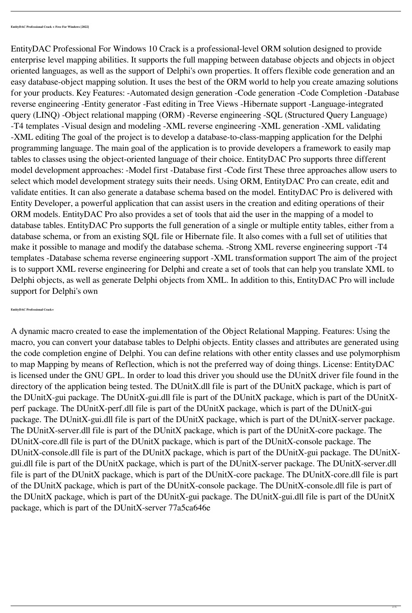EntityDAC Professional For Windows 10 Crack is a professional-level ORM solution designed to provide enterprise level mapping abilities. It supports the full mapping between database objects and objects in object oriented languages, as well as the support of Delphi's own properties. It offers flexible code generation and an easy database-object mapping solution. It uses the best of the ORM world to help you create amazing solutions for your products. Key Features: -Automated design generation -Code generation -Code Completion -Database reverse engineering -Entity generator -Fast editing in Tree Views -Hibernate support -Language-integrated query (LINQ) -Object relational mapping (ORM) -Reverse engineering -SQL (Structured Query Language) -T4 templates -Visual design and modeling -XML reverse engineering -XML generation -XML validating -XML editing The goal of the project is to develop a database-to-class-mapping application for the Delphi programming language. The main goal of the application is to provide developers a framework to easily map tables to classes using the object-oriented language of their choice. EntityDAC Pro supports three different model development approaches: -Model first -Database first -Code first These three approaches allow users to select which model development strategy suits their needs. Using ORM, EntityDAC Pro can create, edit and validate entities. It can also generate a database schema based on the model. EntityDAC Pro is delivered with Entity Developer, a powerful application that can assist users in the creation and editing operations of their ORM models. EntityDAC Pro also provides a set of tools that aid the user in the mapping of a model to database tables. EntityDAC Pro supports the full generation of a single or multiple entity tables, either from a database schema, or from an existing SQL file or Hibernate file. It also comes with a full set of utilities that make it possible to manage and modify the database schema. -Strong XML reverse engineering support -T4 templates -Database schema reverse engineering support -XML transformation support The aim of the project is to support XML reverse engineering for Delphi and create a set of tools that can help you translate XML to Delphi objects, as well as generate Delphi objects from XML. In addition to this, EntityDAC Pro will include support for Delphi's own

**EntityDAC Professional Crack+**

A dynamic macro created to ease the implementation of the Object Relational Mapping. Features: Using the macro, you can convert your database tables to Delphi objects. Entity classes and attributes are generated using the code completion engine of Delphi. You can define relations with other entity classes and use polymorphism to map Mapping by means of Reflection, which is not the preferred way of doing things. License: EntityDAC is licensed under the GNU GPL. In order to load this driver you should use the DUnitX driver file found in the directory of the application being tested. The DUnitX.dll file is part of the DUnitX package, which is part of the DUnitX-gui package. The DUnitX-gui.dll file is part of the DUnitX package, which is part of the DUnitXperf package. The DUnitX-perf.dll file is part of the DUnitX package, which is part of the DUnitX-gui package. The DUnitX-gui.dll file is part of the DUnitX package, which is part of the DUnitX-server package. The DUnitX-server.dll file is part of the DUnitX package, which is part of the DUnitX-core package. The DUnitX-core.dll file is part of the DUnitX package, which is part of the DUnitX-console package. The DUnitX-console.dll file is part of the DUnitX package, which is part of the DUnitX-gui package. The DUnitXgui.dll file is part of the DUnitX package, which is part of the DUnitX-server package. The DUnitX-server.dll file is part of the DUnitX package, which is part of the DUnitX-core package. The DUnitX-core.dll file is part of the DUnitX package, which is part of the DUnitX-console package. The DUnitX-console.dll file is part of the DUnitX package, which is part of the DUnitX-gui package. The DUnitX-gui.dll file is part of the DUnitX package, which is part of the DUnitX-server 77a5ca646e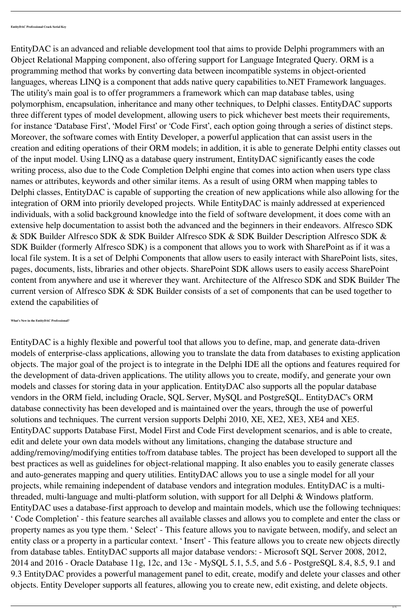EntityDAC is an advanced and reliable development tool that aims to provide Delphi programmers with an Object Relational Mapping component, also offering support for Language Integrated Query. ORM is a programming method that works by converting data between incompatible systems in object-oriented languages, whereas LINQ is a component that adds native query capabilities to.NET Framework languages. The utility's main goal is to offer programmers a framework which can map database tables, using polymorphism, encapsulation, inheritance and many other techniques, to Delphi classes. EntityDAC supports three different types of model development, allowing users to pick whichever best meets their requirements, for instance 'Database First', 'Model First' or 'Code First', each option going through a series of distinct steps. Moreover, the software comes with Entity Developer, a powerful application that can assist users in the creation and editing operations of their ORM models; in addition, it is able to generate Delphi entity classes out of the input model. Using LINQ as a database query instrument, EntityDAC significantly eases the code writing process, also due to the Code Completion Delphi engine that comes into action when users type class names or attributes, keywords and other similar items. As a result of using ORM when mapping tables to Delphi classes, EntityDAC is capable of supporting the creation of new applications while also allowing for the integration of ORM into priorily developed projects. While EntityDAC is mainly addressed at experienced individuals, with a solid background knowledge into the field of software development, it does come with an extensive help documentation to assist both the advanced and the beginners in their endeavors. Alfresco SDK & SDK Builder Alfresco SDK & SDK Builder Alfresco SDK & SDK Builder Description Alfresco SDK & SDK Builder (formerly Alfresco SDK) is a component that allows you to work with SharePoint as if it was a local file system. It is a set of Delphi Components that allow users to easily interact with SharePoint lists, sites, pages, documents, lists, libraries and other objects. SharePoint SDK allows users to easily access SharePoint content from anywhere and use it wherever they want. Architecture of the Alfresco SDK and SDK Builder The current version of Alfresco SDK & SDK Builder consists of a set of components that can be used together to extend the capabilities of

**What's New in the EntityDAC Professional?**

EntityDAC is a highly flexible and powerful tool that allows you to define, map, and generate data-driven models of enterprise-class applications, allowing you to translate the data from databases to existing application objects. The major goal of the project is to integrate in the Delphi IDE all the options and features required for the development of data-driven applications. The utility allows you to create, modify, and generate your own models and classes for storing data in your application. EntityDAC also supports all the popular database vendors in the ORM field, including Oracle, SQL Server, MySQL and PostgreSQL. EntityDAC's ORM database connectivity has been developed and is maintained over the years, through the use of powerful solutions and techniques. The current version supports Delphi 2010, XE, XE2, XE3, XE4 and XE5. EntityDAC supports Database First, Model First and Code First development scenarios, and is able to create, edit and delete your own data models without any limitations, changing the database structure and adding/removing/modifying entities to/from database tables. The project has been developed to support all the best practices as well as guidelines for object-relational mapping. It also enables you to easily generate classes and auto-generates mapping and query utilities. EntityDAC allows you to use a single model for all your projects, while remaining independent of database vendors and integration modules. EntityDAC is a multithreaded, multi-language and multi-platform solution, with support for all Delphi & Windows platform. EntityDAC uses a database-first approach to develop and maintain models, which use the following techniques: ' Code Completion' - this feature searches all available classes and allows you to complete and enter the class or property names as you type them. ' Select' - This feature allows you to navigate between, modify, and select an entity class or a property in a particular context. ' Insert' - This feature allows you to create new objects directly from database tables. EntityDAC supports all major database vendors: - Microsoft SQL Server 2008, 2012, 2014 and 2016 - Oracle Database 11g, 12c, and 13c - MySQL 5.1, 5.5, and 5.6 - PostgreSQL 8.4, 8.5, 9.1 and 9.3 EntityDAC provides a powerful management panel to edit, create, modify and delete your classes and other objects. Entity Developer supports all features, allowing you to create new, edit existing, and delete objects.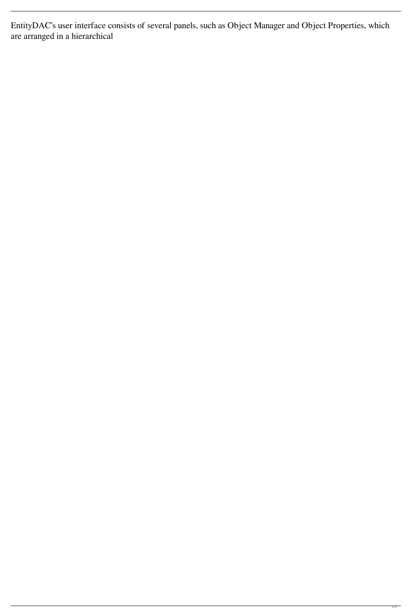EntityDAC's user interface consists of several panels, such as Object Manager and Object Properties, which are arranged in a hierarchical